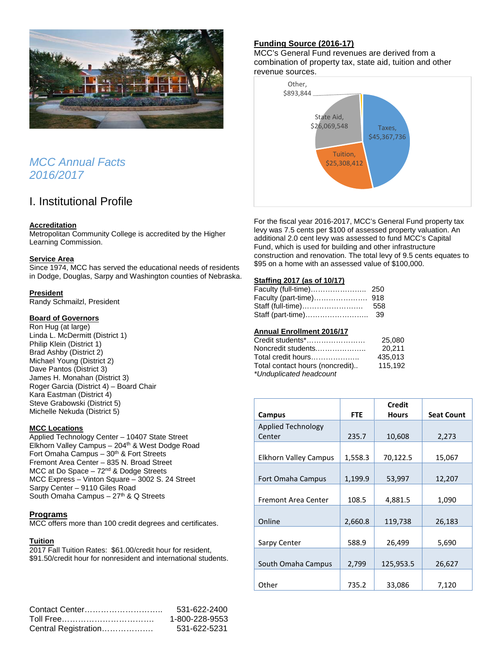

## *MCC Annual Facts 2016/2017*

## I. Institutional Profile

## **Accreditation**

Metropolitan Community College is accredited by the Higher Learning Commission.

## **Service Area**

Since 1974, MCC has served the educational needs of residents in Dodge, Douglas, Sarpy and Washington counties of Nebraska.

## **President**

Randy Schmailzl, President

## **Board of Governors**

Ron Hug (at large) Linda L. McDermitt (District 1) Philip Klein (District 1) Brad Ashby (District 2) Michael Young (District 2) Dave Pantos (District 3) James H. Monahan (District 3) Roger Garcia (District 4) – Board Chair Kara Eastman (District 4) Steve Grabowski (District 5) Michelle Nekuda (District 5)

## **MCC Locations**

Applied Technology Center – 10407 State Street Elkhorn Valley Campus - 204<sup>th</sup> & West Dodge Road Fort Omaha Campus  $-30<sup>th</sup>$  & Fort Streets Fremont Area Center – 835 N. Broad Street MCC at Do Space  $-72<sup>nd</sup>$  & Dodge Streets MCC Express – Vinton Square – 3002 S. 24 Street Sarpy Center – 9110 Giles Road South Omaha Campus –  $27<sup>th</sup>$  & Q Streets

## **Programs**

MCC offers more than 100 credit degrees and certificates.

## **Tuition**

2017 Fall Tuition Rates: \$61.00/credit hour for resident, \$91.50/credit hour for nonresident and international students.

|                      | 531-622-2400   |
|----------------------|----------------|
|                      | 1-800-228-9553 |
| Central Registration | 531-622-5231   |

## **Funding Source (2016-17)**

MCC's General Fund revenues are derived from a combination of property tax, state aid, tuition and other revenue sources.



For the fiscal year 2016-2017, MCC's General Fund property tax levy was 7.5 cents per \$100 of assessed property valuation. An additional 2.0 cent levy was assessed to fund MCC's Capital Fund, which is used for building and other infrastructure construction and renovation. The total levy of 9.5 cents equates to \$95 on a home with an assessed value of \$100,000.

## **Staffing 2017 (as of 10/17)**

| Staff (full-time) | 558 |
|-------------------|-----|
|                   |     |

## **Annual Enrollment 2016/17**

| Credit students*……………………        | 25,080  |
|---------------------------------|---------|
| Noncredit students              | 20.211  |
| Total credit hours………………        | 435.013 |
| Total contact hours (noncredit) | 115.192 |
| *Unduplicated headcount         |         |

|                              |            | <b>Credit</b> |                   |
|------------------------------|------------|---------------|-------------------|
| Campus                       | <b>FTE</b> | <b>Hours</b>  | <b>Seat Count</b> |
| Applied Technology           |            |               |                   |
| Center                       | 235.7      | 10,608        | 2,273             |
|                              |            |               |                   |
| <b>Elkhorn Valley Campus</b> | 1,558.3    | 70,122.5      | 15,067            |
|                              |            |               |                   |
| Fort Omaha Campus            | 1,199.9    | 53,997        | 12,207            |
|                              |            |               |                   |
| Fremont Area Center          | 108.5      | 4,881.5       | 1,090             |
|                              |            |               |                   |
| Online                       | 2,660.8    | 119,738       | 26,183            |
|                              |            |               |                   |
| Sarpy Center                 | 588.9      | 26,499        | 5,690             |
|                              |            |               |                   |
| South Omaha Campus           | 2,799      | 125,953.5     | 26,627            |
|                              |            |               |                   |
| Other                        | 735.2      | 33,086        | 7,120             |